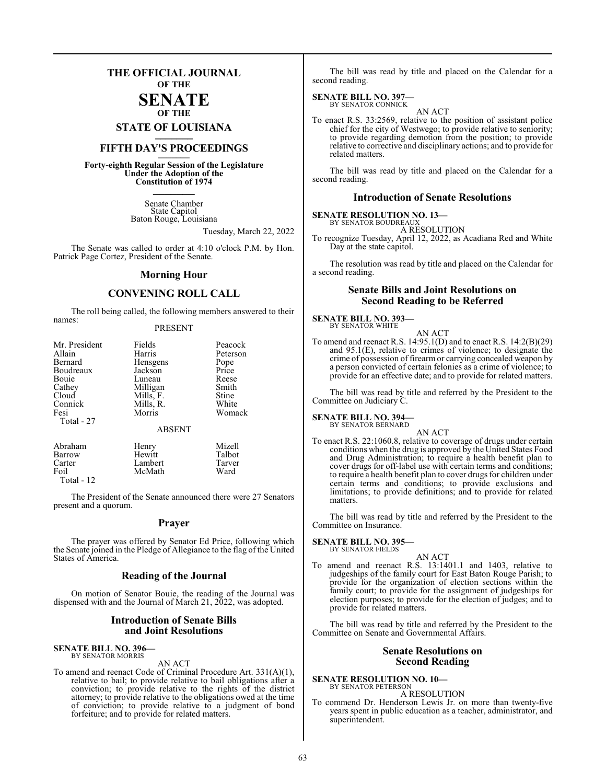### **THE OFFICIAL JOURNAL OF THE**

#### **SENATE OF THE**

**STATE OF LOUISIANA \_\_\_\_\_\_\_**

### **FIFTH DAY'S PROCEEDINGS \_\_\_\_\_\_\_**

**Forty-eighth Regular Session of the Legislature Under the Adoption of the Constitution of 1974 \_\_\_\_\_\_\_**

> Senate Chamber State Capitol Baton Rouge, Louisiana

> > Tuesday, March 22, 2022

The Senate was called to order at 4:10 o'clock P.M. by Hon. Patrick Page Cortez, President of the Senate.

#### **Morning Hour**

### **CONVENING ROLL CALL**

The roll being called, the following members answered to their names:

#### PRESENT

| Mr. President<br>Allain<br>Bernard<br>Boudreaux<br>Bouie<br>Cathey<br>Cloud<br>Connick<br>Fesi | Fields<br>Harris<br>Hensgens<br>Jackson<br>Luneau<br>Milligan<br>Mills, F.<br>Mills, R.<br>Morris | Peacock<br>Peterson<br>Pope<br>Price<br>Reese<br>Smith<br>Stine<br>White<br>Womack |
|------------------------------------------------------------------------------------------------|---------------------------------------------------------------------------------------------------|------------------------------------------------------------------------------------|
| Total - 27                                                                                     | <b>ABSENT</b>                                                                                     |                                                                                    |
| Abraham                                                                                        | Henry                                                                                             | Mizell                                                                             |

| Aoranam      | <b>Henry</b> | <b>NEZEH</b> |
|--------------|--------------|--------------|
| Barrow       | Hewitt       | Talbot       |
| Carter       | Lambert      | Tarver       |
| Foil         | McMath       | Ward         |
| Total - $12$ |              |              |

The President of the Senate announced there were 27 Senators present and a quorum.

#### **Prayer**

The prayer was offered by Senator Ed Price, following which the Senate joined in the Pledge of Allegiance to the flag of the United States of America.

#### **Reading of the Journal**

On motion of Senator Bouie, the reading of the Journal was dispensed with and the Journal of March 21, 2022, was adopted.

#### **Introduction of Senate Bills and Joint Resolutions**

### **SENATE BILL NO. 396—** BY SENATOR MORRIS

AN ACT

To amend and reenact Code of Criminal Procedure Art. 331(A)(1), relative to bail; to provide relative to bail obligations after a conviction; to provide relative to the rights of the district attorney; to provide relative to the obligations owed at the time of conviction; to provide relative to a judgment of bond forfeiture; and to provide for related matters.

The bill was read by title and placed on the Calendar for a second reading.

## **SENATE BILL NO. 397—** BY SENATOR CONNICK

AN ACT

To enact R.S. 33:2569, relative to the position of assistant police chief for the city of Westwego; to provide relative to seniority; to provide regarding demotion from the position; to provide relative to corrective and disciplinary actions; and to provide for related matters.

The bill was read by title and placed on the Calendar for a second reading.

#### **Introduction of Senate Resolutions**

#### **SENATE RESOLUTION NO. 13—** BY SENATOR BOUDREAU

A RESOLUTION

To recognize Tuesday, April 12, 2022, as Acadiana Red and White Day at the state capitol.

The resolution was read by title and placed on the Calendar for a second reading.

#### **Senate Bills and Joint Resolutions on Second Reading to be Referred**

#### **SENATE BILL NO. 393—** BY SENATOR WHITE

AN ACT To amend and reenact R.S. 14:95.1(D) and to enact R.S. 14:2(B)(29) and 95.1(E), relative to crimes of violence; to designate the crime of possession of firearm or carrying concealed weapon by a person convicted of certain felonies as a crime of violence; to provide for an effective date; and to provide for related matters.

The bill was read by title and referred by the President to the Committee on Judiciary C.

#### **SENATE BILL NO. 394** BY SENATOR BERNARD

AN ACT

To enact R.S. 22:1060.8, relative to coverage of drugs under certain conditions when the drug is approved by the United States Food and Drug Administration; to require a health benefit plan to cover drugs for off-label use with certain terms and conditions; to require a health benefit plan to cover drugs for children under certain terms and conditions; to provide exclusions and limitations; to provide definitions; and to provide for related matters.

The bill was read by title and referred by the President to the Committee on Insurance.

#### **SENATE BILL NO. 395—** BY SENATOR FIELDS

AN ACT

To amend and reenact R.S. 13:1401.1 and 1403, relative to judgeships of the family court for East Baton Rouge Parish; to provide for the organization of election sections within the family court; to provide for the assignment of judgeships for election purposes; to provide for the election of judges; and to provide for related matters.

The bill was read by title and referred by the President to the Committee on Senate and Governmental Affairs.

#### **Senate Resolutions on Second Reading**

#### **SENATE RESOLUTION NO. 10—** BY SENATOR PETERSON

A RESOLUTION

To commend Dr. Henderson Lewis Jr. on more than twenty-five years spent in public education as a teacher, administrator, and superintendent.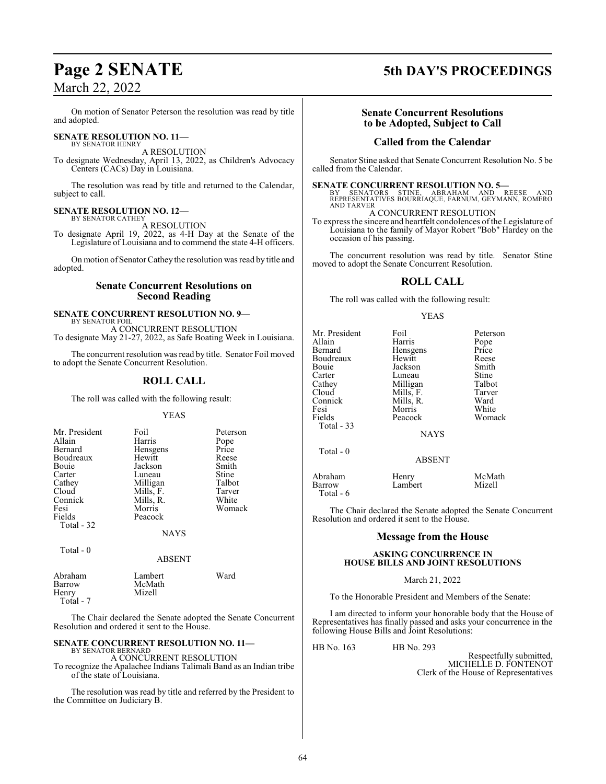On motion of Senator Peterson the resolution was read by title and adopted.

#### **SENATE RESOLUTION NO. 11—** BY SENATOR HENRY

A RESOLUTION

To designate Wednesday, April 13, 2022, as Children's Advocacy Centers (CACs) Day in Louisiana.

The resolution was read by title and returned to the Calendar, subject to call.

#### **SENATE RESOLUTION NO. 12—** BY SENATOR CATHEY

A RESOLUTION

To designate April 19, 2022, as 4-H Day at the Senate of the Legislature of Louisiana and to commend the state 4-H officers.

On motion of SenatorCathey the resolution was read by title and adopted.

#### **Senate Concurrent Resolutions on Second Reading**

#### **SENATE CONCURRENT RESOLUTION NO. 9—** BY SENATOR FOIL

A CONCURRENT RESOLUTION To designate May 21-27, 2022, as Safe Boating Week in Louisiana.

The concurrent resolution was read by title. Senator Foil moved to adopt the Senate Concurrent Resolution.

### **ROLL CALL**

The roll was called with the following result:

#### YEAS

| Mr. President<br>Allain<br>Bernard<br>Boudreaux<br>Bouie<br>Carter<br>Cathey<br>Cloud<br>Connick<br>Fesi | Foil<br>Harris<br>Hensgens<br>Hewitt<br>Jackson<br>Luneau<br>Milligan<br>Mills, F.<br>Mills, R.<br>Morris | Peterson<br>Pope<br>Price<br>Reese<br>Smith<br>Stine<br>Talbot<br>Tarver<br>White<br>Womack |
|----------------------------------------------------------------------------------------------------------|-----------------------------------------------------------------------------------------------------------|---------------------------------------------------------------------------------------------|
| Fields<br>Total - 32                                                                                     | Peacock<br>NAYS                                                                                           |                                                                                             |

Total - 0

#### ABSENT

| Abraham   | Lambert | Ward |
|-----------|---------|------|
| Barrow    | McMath  |      |
| Henry     | Mizell  |      |
| Total - 7 |         |      |

The Chair declared the Senate adopted the Senate Concurrent Resolution and ordered it sent to the House.

#### **SENATE CONCURRENT RESOLUTION NO. 11—** BY SENATOR BERNARD

A CONCURRENT RESOLUTION

To recognize the Apalachee Indians Talimali Band as an Indian tribe of the state of Louisiana.

The resolution was read by title and referred by the President to the Committee on Judiciary B.

## **Page 2 SENATE 5th DAY'S PROCEEDINGS**

### **Senate Concurrent Resolutions to be Adopted, Subject to Call**

#### **Called from the Calendar**

Senator Stine asked that Senate Concurrent Resolution No. 5 be called from the Calendar.

**SENATE CONCURRENT RESOLUTION NO. 5—**<br>BY SENATORS STINE, ABRAHAM AND REESE AND<br>REPRESENTATIVES BOURRIAQUE, FARNUM, GEYMANN, ROMERO AND TARVER

A CONCURRENT RESOLUTION

To express the sincere and heartfelt condolences of the Legislature of Louisiana to the family of Mayor Robert "Bob" Hardey on the occasion of his passing.

The concurrent resolution was read by title. Senator Stine moved to adopt the Senate Concurrent Resolution.

#### **ROLL CALL**

The roll was called with the following result:

#### YEAS

| Mr. President<br>Allain<br>Bernard<br>Boudreaux<br>Bouie<br>Carter<br>Cathey<br>Cloud<br>Connick<br>Fesi<br>Fields<br>Total $-33$ | Foil<br>Harris<br>Hensgens<br>Hewitt<br>Jackson<br>Luneau<br>Milligan<br>Mills, F.<br>Mills, R.<br>Morris<br>Peacock<br><b>NAYS</b> | Peterson<br>Pope<br>Price<br>Reese<br>Smith<br>Stine<br>Talbot<br>Tarver<br>Ward<br>White<br>Womack |
|-----------------------------------------------------------------------------------------------------------------------------------|-------------------------------------------------------------------------------------------------------------------------------------|-----------------------------------------------------------------------------------------------------|
| Total $-0$                                                                                                                        | <b>ABSENT</b>                                                                                                                       |                                                                                                     |
| Abraham<br>Barrow                                                                                                                 | Henry<br>Lambert                                                                                                                    | McMath<br>Mizell                                                                                    |

The Chair declared the Senate adopted the Senate Concurrent Resolution and ordered it sent to the House.

### **Message from the House**

#### **ASKING CONCURRENCE IN HOUSE BILLS AND JOINT RESOLUTIONS**

#### March 21, 2022

To the Honorable President and Members of the Senate:

I am directed to inform your honorable body that the House of Representatives has finally passed and asks your concurrence in the following House Bills and Joint Resolutions:

HB No. 163 HB No. 293

Total - 6

Respectfully submitted, MICHELLE D. FONTENOT Clerk of the House of Representatives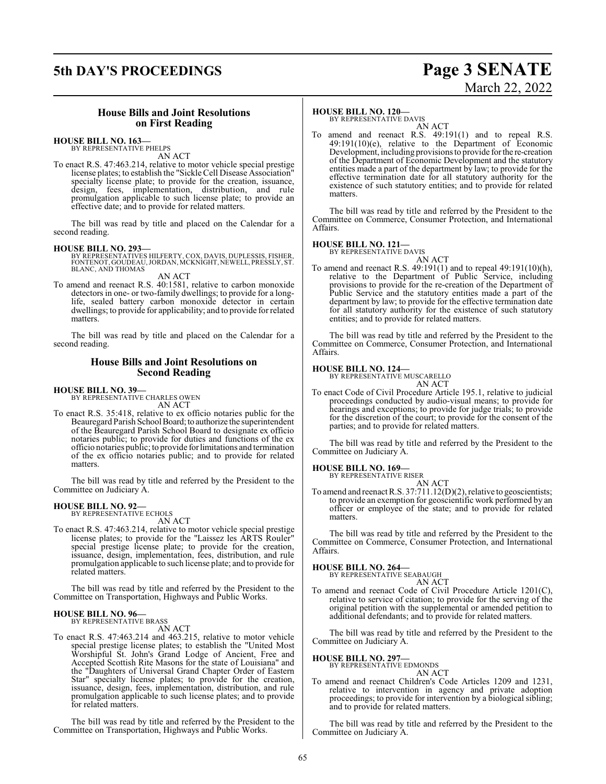## **5th DAY'S PROCEEDINGS Page 3 SENATE**

# March 22, 2022

#### **House Bills and Joint Resolutions on First Reading**

#### **HOUSE BILL NO. 163—** BY REPRESENTATIVE PHELPS

AN ACT

To enact R.S. 47:463.214, relative to motor vehicle special prestige license plates; to establish the "Sickle Cell Disease Association" specialty license plate; to provide for the creation, issuance, design, fees, implementation, distribution, and rule promulgation applicable to such license plate; to provide an effective date; and to provide for related matters.

The bill was read by title and placed on the Calendar for a second reading.

#### **HOUSE BILL NO. 293—**

BY REPRESENTATIVES HILFERTY, COX, DAVIS, DUPLESSIS, FISHER,<br>FONTENOT, GOUDEAU, JORDAN, MCKNIGHT, NEWELL, PRESSLY, ST.<br>BLANC, AND THOMAS

AN ACT

To amend and reenact R.S. 40:1581, relative to carbon monoxide detectors in one- or two-family dwellings; to provide for a longlife, sealed battery carbon monoxide detector in certain dwellings; to provide for applicability; and to provide for related matters.

The bill was read by title and placed on the Calendar for a second reading.

#### **House Bills and Joint Resolutions on Second Reading**

## **HOUSE BILL NO. 39—** BY REPRESENTATIVE CHARLES OWEN

AN ACT

To enact R.S. 35:418, relative to ex officio notaries public for the Beauregard Parish School Board; to authorize the superintendent of the Beauregard Parish School Board to designate ex officio notaries public; to provide for duties and functions of the ex officio notaries public; to provide forlimitations and termination of the ex officio notaries public; and to provide for related matters.

The bill was read by title and referred by the President to the Committee on Judiciary A.

## **HOUSE BILL NO. 92—** BY REPRESENTATIVE ECHOLS

AN ACT

To enact R.S. 47:463.214, relative to motor vehicle special prestige license plates; to provide for the "Laissez les ARTS Rouler" special prestige license plate; to provide for the creation, issuance, design, implementation, fees, distribution, and rule promulgation applicable to such license plate; and to provide for related matters.

The bill was read by title and referred by the President to the Committee on Transportation, Highways and Public Works.

#### **HOUSE BILL NO. 96—** BY REPRESENTATIVE BRASS

AN ACT

To enact R.S. 47:463.214 and 463.215, relative to motor vehicle special prestige license plates; to establish the "United Most Worshipful St. John's Grand Lodge of Ancient, Free and Accepted Scottish Rite Masons for the state of Louisiana" and the "Daughters of Universal Grand Chapter Order of Eastern Star" specialty license plates; to provide for the creation, issuance, design, fees, implementation, distribution, and rule promulgation applicable to such license plates; and to provide for related matters.

The bill was read by title and referred by the President to the Committee on Transportation, Highways and Public Works.

#### **HOUSE BILL NO. 120—**

BY REPRESENTATIVE DAVIS AN ACT

To amend and reenact R.S. 49:191(1) and to repeal R.S. 49:191(10)(e), relative to the Department of Economic Development, including provisionsto provide forthe re-creation of the Department of Economic Development and the statutory entities made a part of the department by law; to provide for the effective termination date for all statutory authority for the existence of such statutory entities; and to provide for related matters.

The bill was read by title and referred by the President to the Committee on Commerce, Consumer Protection, and International Affairs.

#### **HOUSE BILL NO. 121—**

BY REPRESENTATIVE DAVIS AN ACT

- 
- To amend and reenact R.S. 49:191(1) and to repeal 49:191(10)(h), relative to the Department of Public Service, including provisions to provide for the re-creation of the Department of Public Service and the statutory entities made a part of the department by law; to provide for the effective termination date for all statutory authority for the existence of such statutory entities; and to provide for related matters.

The bill was read by title and referred by the President to the Committee on Commerce, Consumer Protection, and International Affairs.

#### **HOUSE BILL NO. 124—**

BY REPRESENTATIVE MUSCARELLO AN ACT

To enact Code of Civil Procedure Article 195.1, relative to judicial proceedings conducted by audio-visual means; to provide for hearings and exceptions; to provide for judge trials; to provide for the discretion of the court; to provide for the consent of the parties; and to provide for related matters.

The bill was read by title and referred by the President to the Committee on Judiciary A.

#### **HOUSE BILL NO. 169—**

BY REPRESENTATIVE RISER AN ACT

To amend and reenact R.S. 37:711.12(D)(2), relative to geoscientists; to provide an exemption for geoscientific work performed by an officer or employee of the state; and to provide for related matters.

The bill was read by title and referred by the President to the Committee on Commerce, Consumer Protection, and International Affairs.

#### **HOUSE BILL NO. 264—**

BY REPRESENTATIVE SEABAUGH AN ACT

To amend and reenact Code of Civil Procedure Article 1201(C), relative to service of citation; to provide for the serving of the original petition with the supplemental or amended petition to additional defendants; and to provide for related matters.

The bill was read by title and referred by the President to the Committee on Judiciary A.

**HOUSE BILL NO. 297—**

BY REPRESENTATIVE EDMONDS AN ACT

To amend and reenact Children's Code Articles 1209 and 1231, relative to intervention in agency and private adoption proceedings; to provide for intervention by a biological sibling; and to provide for related matters.

The bill was read by title and referred by the President to the Committee on Judiciary A.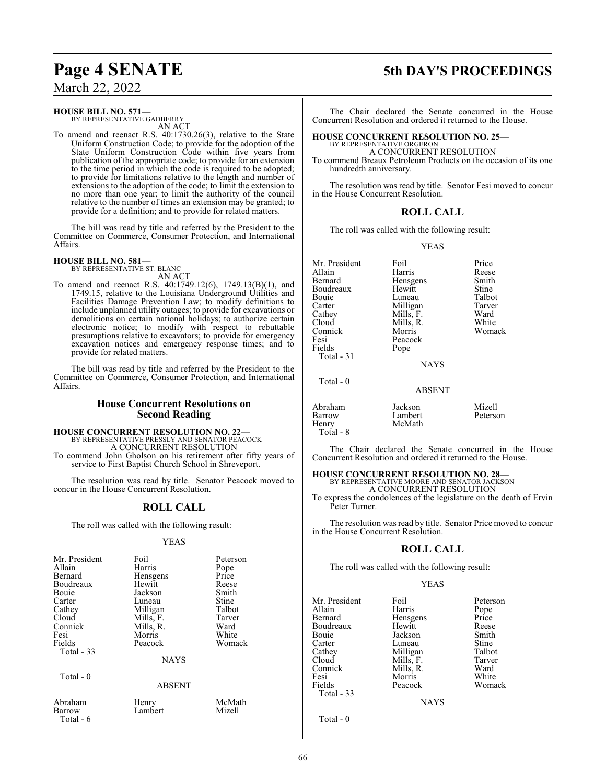#### **HOUSE BILL NO. 571—**

BY REPRESENTATIVE GADBERRY AN ACT

To amend and reenact R.S. 40:1730.26(3), relative to the State Uniform Construction Code; to provide for the adoption of the State Uniform Construction Code within five years from publication of the appropriate code; to provide for an extension to the time period in which the code is required to be adopted; to provide for limitations relative to the length and number of extensions to the adoption of the code; to limit the extension to no more than one year; to limit the authority of the council relative to the number of times an extension may be granted; to provide for a definition; and to provide for related matters.

The bill was read by title and referred by the President to the Committee on Commerce, Consumer Protection, and International Affairs.

#### **HOUSE BILL NO. 581—** BY REPRESENTATIVE ST. BLANC

AN ACT To amend and reenact R.S. 40:1749.12(6), 1749.13(B)(1), and 1749.15, relative to the Louisiana Underground Utilities and Facilities Damage Prevention Law; to modify definitions to include unplanned utility outages; to provide for excavations or demolitions on certain national holidays; to authorize certain electronic notice; to modify with respect to rebuttable presumptions relative to excavators; to provide for emergency excavation notices and emergency response times; and to provide for related matters.

The bill was read by title and referred by the President to the Committee on Commerce, Consumer Protection, and International Affairs.

#### **House Concurrent Resolutions on Second Reading**

### **HOUSE CONCURRENT RESOLUTION NO. 22—** BY REPRESENTATIVE PRESSLY AND SENATOR PEACOCK

A CONCURRENT RESOLUTION

To commend John Gholson on his retirement after fifty years of service to First Baptist Church School in Shreveport.

The resolution was read by title. Senator Peacock moved to concur in the House Concurrent Resolution.

### **ROLL CALL**

The roll was called with the following result:

#### YEAS

| Mr. President<br>Allain<br>Bernard<br>Boudreaux<br>Bouie<br>Carter<br>Cathey<br>Cloud<br>Connick<br>Fesi<br>Fields<br>Total $-33$ | Foil<br>Harris<br>Hensgens<br>Hewitt<br>Jackson<br>Luneau<br>Milligan<br>Mills, F.<br>Mills, R.<br>Morris<br>Peacock | Peterson<br>Pope<br>Price<br>Reese<br>Smith<br>Stine<br>Talbot<br>Tarver<br>Ward<br>White<br>Womack |
|-----------------------------------------------------------------------------------------------------------------------------------|----------------------------------------------------------------------------------------------------------------------|-----------------------------------------------------------------------------------------------------|
|                                                                                                                                   | <b>NAYS</b>                                                                                                          |                                                                                                     |
| Total - 0                                                                                                                         | ABSENT                                                                                                               |                                                                                                     |

Lambert

Abraham Henry<br>Barrow Lambe

Total - 6

| McMath |
|--------|
| Mizell |

## **Page 4 SENATE 5th DAY'S PROCEEDINGS**

The Chair declared the Senate concurred in the House Concurrent Resolution and ordered it returned to the House.

#### **HOUSE CONCURRENT RESOLUTION NO. 25—**

BY REPRESENTATIVE ORGERON A CONCURRENT RESOLUTION

To commend Breaux Petroleum Products on the occasion of its one hundredth anniversary.

The resolution was read by title. Senator Fesi moved to concur in the House Concurrent Resolution.

#### **ROLL CALL**

The roll was called with the following result:

YEAS

Mr. President Foil Price<br>Allain Harris Reese Allain Harris Reese Boudreaux Hewitt Stine<br>Bouie Luneau Talbot Bouie Luneau Talbot<br>Carter Milligan Tarver Carter Milligan Tarver<br>Cathey Mills, F. Ward Cathey Mills, F. Ward<br>Cloud Mills, R. White Cloud Mills, R.<br>Connick Morris Connick Morris Womack Fesi Peacock<br>Fields Pone Total - 31

Hensgens Smith<br>Hewitt Stine

Pope **NAYS** 

Total - 0

| Abraham   | Jackson | Mizell   |
|-----------|---------|----------|
| Barrow    | Lambert | Peterson |
| Henry     | McMath  |          |
| Total - 8 |         |          |

The Chair declared the Senate concurred in the House Concurrent Resolution and ordered it returned to the House.

ABSENT

#### **HOUSE CONCURRENT RESOLUTION NO. 28—**

BY REPRESENTATIVE MOORE AND SENATOR JACKSON A CONCURRENT RESOLUTION

To express the condolences of the legislature on the death of Ervin Peter Turner.

The resolution was read by title. Senator Price moved to concur in the House Concurrent Resolution.

### **ROLL CALL**

The roll was called with the following result:

#### YEAS

| Mr. President | Foil        | Peterson |
|---------------|-------------|----------|
| Allain        | Harris      | Pope     |
| Bernard       | Hensgens    | Price    |
| Boudreaux     | Hewitt      | Reese    |
| Bouie         | Jackson     | Smith    |
| Carter        | Luneau      | Stine    |
| Cathey        | Milligan    | Talbot   |
| Cloud         | Mills, F.   | Tarver   |
| Connick       | Mills, R.   | Ward     |
| Fesi          | Morris      | White    |
| Fields        | Peacock     | Womack   |
| Total - 33    |             |          |
|               | <b>NAYS</b> |          |
|               |             |          |

Total - 0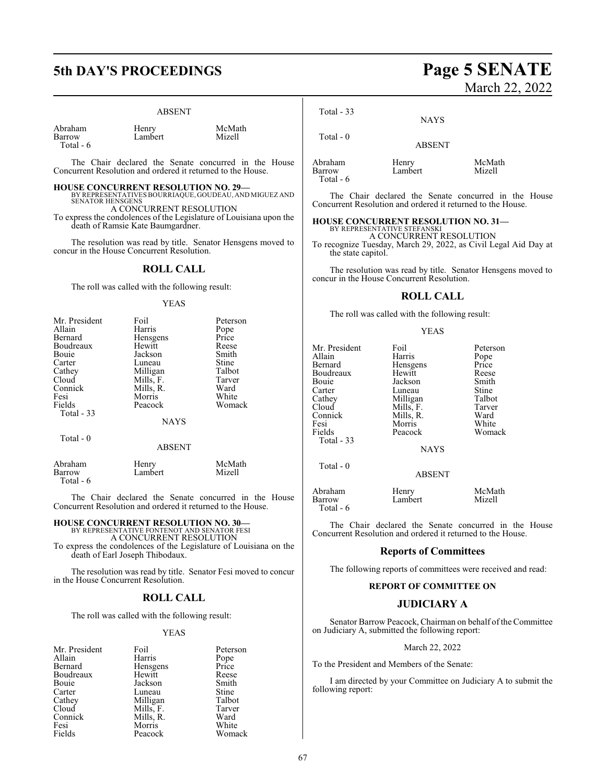## **5th DAY'S PROCEEDINGS Page 5 SENATE**

#### ABSENT

Abraham Henry McMath Total - 6

Total - 0

Lambert

The Chair declared the Senate concurred in the House Concurrent Resolution and ordered it returned to the House.

#### **HOUSE CONCURRENT RESOLUTION NO. 29—**

BY REPRESENTATIVES BOURRIAQUE, GOUDEAU, AND MIGUEZ AND SENATOR HENSGENS A CONCURRENT RESOLUTION

To express the condolences of the Legislature of Louisiana upon the death of Ramsie Kate Baumgardner.

The resolution was read by title. Senator Hensgens moved to concur in the House Concurrent Resolution.

#### **ROLL CALL**

The roll was called with the following result:

#### YEAS

| Foil        | Peterson  |
|-------------|-----------|
| Harris      | Pope      |
| Hensgens    | Price     |
| Hewitt      | Reese     |
| Jackson     | Smith     |
| Luneau      | Stine     |
| Milligan    | Talbot    |
| Mills, F.   | Tarver    |
|             | Ward      |
| Morris      | White     |
| Peacock     | Womack    |
|             |           |
| <b>NAYS</b> |           |
|             | Mills, R. |

#### ABSENT

| Abraham             | Henry   | McMath |
|---------------------|---------|--------|
| Barrow<br>Total - 6 | Lambert | Mizell |

The Chair declared the Senate concurred in the House Concurrent Resolution and ordered it returned to the House.

### **HOUSE CONCURRENT RESOLUTION NO. 30—**

BY REPRESENTATIVE FONTENOT AND SENATOR FESI A CONCURRENT RESOLUTION

To express the condolences of the Legislature of Louisiana on the death of Earl Joseph Thibodaux.

The resolution was read by title. Senator Fesi moved to concur in the House Concurrent Resolution.

#### **ROLL CALL**

The roll was called with the following result:

#### YEAS

| Mr. President | Foil      | Peterson |
|---------------|-----------|----------|
| Allain        | Harris    | Pope     |
| Bernard       | Hensgens  | Price    |
| Boudreaux     | Hewitt    | Reese    |
| Bouie         | Jackson   | Smith    |
| Carter        | Luneau    | Stine    |
| Cathey        | Milligan  | Talbot   |
| Cloud         | Mills, F. | Tarver   |
| Connick       | Mills, R. | Ward     |
| Fesi          | Morris    | White    |
| Fields        | Peacock   | Womack   |

# March 22, 2022

Total - 33

Total - 0

NAYS

ABSENT

Abraham Henry McMath Total - 6

Lambert

The Chair declared the Senate concurred in the House Concurrent Resolution and ordered it returned to the House.

#### **HOUSE CONCURRENT RESOLUTION NO. 31—**

BY REPRESENTATIVE STEFANSKI A CONCURRENT RESOLUTION

To recognize Tuesday, March 29, 2022, as Civil Legal Aid Day at the state capitol.

The resolution was read by title. Senator Hensgens moved to concur in the House Concurrent Resolution.

#### **ROLL CALL**

The roll was called with the following result:

#### YEAS

| Mr. President                  | Foil                              | Peterson         |
|--------------------------------|-----------------------------------|------------------|
| Allain                         | Harris                            | Pope             |
| Bernard                        | Hensgens                          | Price            |
| Boudreaux                      | Hewitt                            | Reese            |
| Bouie                          | Jackson                           | Smith            |
| Carter                         | Luneau                            | Stine            |
| Cathey                         | Milligan                          | Talbot           |
| Cloud                          | Mills, F.                         | Tarver           |
| Connick                        | Mills, R.                         | Ward             |
| Fesi                           | Morris                            | White            |
| Fields                         | Peacock                           | Womack           |
| Total - 33<br>Total $-0$       | <b>NAYS</b>                       |                  |
| Abraham<br>Barrow<br>Total - 6 | <b>ABSENT</b><br>Henry<br>Lambert | McMath<br>Mizell |

The Chair declared the Senate concurred in the House Concurrent Resolution and ordered it returned to the House.

#### **Reports of Committees**

The following reports of committees were received and read:

#### **REPORT OF COMMITTEE ON**

#### **JUDICIARY A**

Senator Barrow Peacock, Chairman on behalf of the Committee on Judiciary A, submitted the following report:

#### March 22, 2022

To the President and Members of the Senate:

I am directed by your Committee on Judiciary A to submit the following report: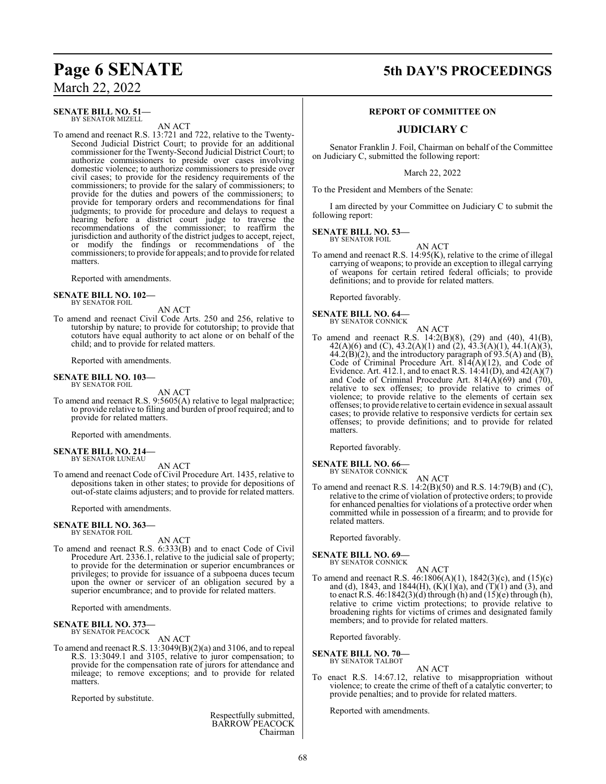#### **SENATE BILL NO. 51—** BY SENATOR MIZELL

AN ACT

To amend and reenact R.S. 13:721 and 722, relative to the Twenty-Second Judicial District Court; to provide for an additional commissioner for the Twenty-Second Judicial District Court; to authorize commissioners to preside over cases involving domestic violence; to authorize commissioners to preside over civil cases; to provide for the residency requirements of the commissioners; to provide for the salary of commissioners; to provide for the duties and powers of the commissioners; to provide for temporary orders and recommendations for final judgments; to provide for procedure and delays to request a hearing before a district court judge to traverse the recommendations of the commissioner; to reaffirm the jurisdiction and authority of the district judges to accept, reject, or modify the findings or recommendations of the commissioners; to provide for appeals; and to provide for related matters.

Reported with amendments.

#### **SENATE BILL NO. 102—**

BY SENATOR FOIL

AN ACT To amend and reenact Civil Code Arts. 250 and 256, relative to tutorship by nature; to provide for cotutorship; to provide that cotutors have equal authority to act alone or on behalf of the child; and to provide for related matters.

Reported with amendments.

#### **SENATE BILL NO. 103—** BY SENATOR FOIL

AN ACT

To amend and reenact R.S. 9:5605(A) relative to legal malpractice; to provide relative to filing and burden of proof required; and to provide for related matters.

Reported with amendments.

#### **SENATE BILL NO. 214—** BY SENATOR LUNEAU

AN ACT

To amend and reenact Code of Civil Procedure Art. 1435, relative to depositions taken in other states; to provide for depositions of out-of-state claims adjusters; and to provide for related matters.

Reported with amendments.

#### **SENATE BILL NO. 363—** BY SENATOR FOIL

AN ACT

To amend and reenact R.S. 6:333(B) and to enact Code of Civil Procedure Art. 2336.1, relative to the judicial sale of property; to provide for the determination or superior encumbrances or privileges; to provide for issuance of a subpoena duces tecum upon the owner or servicer of an obligation secured by a superior encumbrance; and to provide for related matters.

Reported with amendments.

#### **SENATE BILL NO. 373** BY SENATOR PEACOCK

AN ACT

To amend and reenact R.S. 13:3049(B)(2)(a) and 3106, and to repeal R.S. 13:3049.1 and 3105, relative to juror compensation; to provide for the compensation rate of jurors for attendance and mileage; to remove exceptions; and to provide for related matters.

Reported by substitute.

Respectfully submitted, BARROW PEACOCK Chairman

## **Page 6 SENATE 5th DAY'S PROCEEDINGS**

#### **REPORT OF COMMITTEE ON**

### **JUDICIARY C**

Senator Franklin J. Foil, Chairman on behalf of the Committee on Judiciary C, submitted the following report:

March 22, 2022

To the President and Members of the Senate:

I am directed by your Committee on Judiciary C to submit the following report:

**SENATE BILL NO. 53—** BY SENATOR FOIL

AN ACT

To amend and reenact R.S. 14:95(K), relative to the crime of illegal carrying of weapons; to provide an exception to illegal carrying of weapons for certain retired federal officials; to provide definitions; and to provide for related matters.

Reported favorably.

#### **SENATE BILL NO. 64—** BY SENATOR CONNICK

AN ACT

To amend and reenact R.S. 14:2(B)(8), (29) and (40), 41(B), 42(A)(6) and (C), 43.2(A)(1) and (2), 43.3(A)(1), 44.1(A)(3),  $44.2(B)(2)$ , and the introductory paragraph of 93.5(A) and (B), Code of Criminal Procedure Art. 814(A)(12), and Code of Evidence. Art. 412.1, and to enact R.S.  $14:41(D)$ , and  $42(A)(7)$ and Code of Criminal Procedure Art. 814(A)(69) and  $(70)$ , relative to sex offenses; to provide relative to crimes of violence; to provide relative to the elements of certain sex offenses; to provide relative to certain evidence in sexual assault cases; to provide relative to responsive verdicts for certain sex offenses; to provide definitions; and to provide for related matters.

Reported favorably.

#### **SENATE BILL NO. 66—** BY SENATOR CONNICK

- 
- To amend and reenact R.S. 14:2(B)(50) and R.S. 14:79(B) and (C), relative to the crime of violation of protective orders; to provide for enhanced penalties for violations of a protective order when committed while in possession of a firearm; and to provide for related matters.

AN ACT

Reported favorably.

### **SENATE BILL NO. 69—**<br>BY SENATOR CONNICK

AN ACT

To amend and reenact R.S. 46:1806(A)(1), 1842(3)(c), and (15)(c) and (d), 1843, and 1844(H),  $(K)(1)(a)$ , and  $(T)(1)$  and (3), and to enact R.S.  $46:1842(3)(d)$  through (h) and  $(15)(e)$  through (h), relative to crime victim protections; to provide relative to broadening rights for victims of crimes and designated family members; and to provide for related matters.

Reported favorably.

**SENATE BILL NO. 70—**<br>BY SENATOR TALBOT

- AN ACT
- To enact R.S. 14:67.12, relative to misappropriation without violence; to create the crime of theft of a catalytic converter; to provide penalties; and to provide for related matters.

Reported with amendments.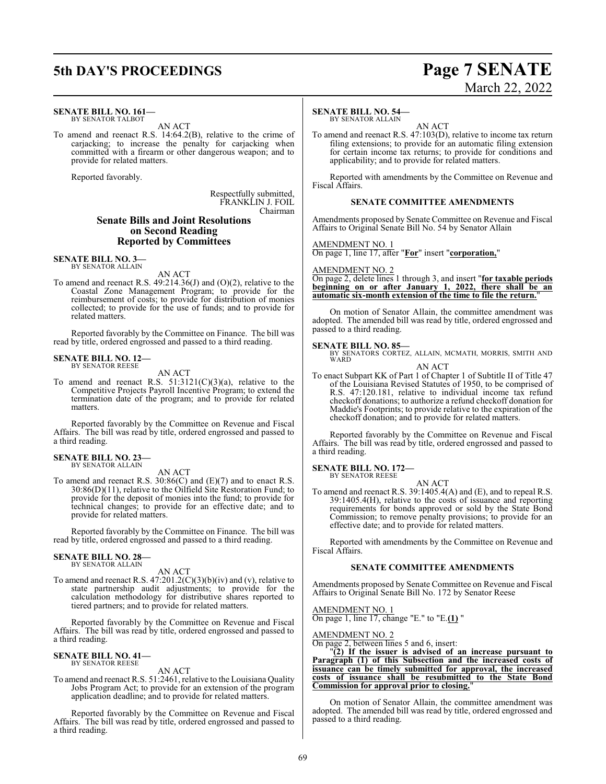## **5th DAY'S PROCEEDINGS Page 7 SENATE**

#### **SENATE BILL NO. 161—** BY SENATOR TALBOT

AN ACT

To amend and reenact R.S. 14:64.2(B), relative to the crime of carjacking; to increase the penalty for carjacking when committed with a firearm or other dangerous weapon; and to provide for related matters.

Reported favorably.

Respectfully submitted, FRANKLIN J. FOIL Chairman

#### **Senate Bills and Joint Resolutions on Second Reading Reported by Committees**

**SENATE BILL NO. 3—** BY SENATOR ALLAIN

AN ACT

To amend and reenact R.S. 49:214.36(J) and (O)(2), relative to the Coastal Zone Management Program; to provide for the reimbursement of costs; to provide for distribution of monies collected; to provide for the use of funds; and to provide for related matters.

Reported favorably by the Committee on Finance. The bill was read by title, ordered engrossed and passed to a third reading.

## **SENATE BILL NO. 12—** BY SENATOR REESE

AN ACT

To amend and reenact R.S.  $51:3121(C)(3)(a)$ , relative to the Competitive Projects Payroll Incentive Program; to extend the termination date of the program; and to provide for related matters.

Reported favorably by the Committee on Revenue and Fiscal Affairs. The bill was read by title, ordered engrossed and passed to a third reading.

#### **SENATE BILL NO. 23—** BY SENATOR ALLAIN

AN ACT

To amend and reenact R.S. 30:86(C) and (E)(7) and to enact R.S.  $30:86(D)(11)$ , relative to the Oilfield Site Restoration Fund; to provide for the deposit of monies into the fund; to provide for technical changes; to provide for an effective date; and to provide for related matters.

Reported favorably by the Committee on Finance. The bill was read by title, ordered engrossed and passed to a third reading.

#### **SENATE BILL NO. 28—** BY SENATOR ALLAIN

AN ACT

To amend and reenact R.S.  $47:201.2(C)(3)(b)(iv)$  and (v), relative to state partnership audit adjustments; to provide for the calculation methodology for distributive shares reported to tiered partners; and to provide for related matters.

Reported favorably by the Committee on Revenue and Fiscal Affairs. The bill was read by title, ordered engrossed and passed to a third reading.

#### **SENATE BILL NO. 41—** BY SENATOR REESE

AN ACT

To amend and reenact R.S. 51:2461, relative to the Louisiana Quality Jobs Program Act; to provide for an extension of the program application deadline; and to provide for related matters.

Reported favorably by the Committee on Revenue and Fiscal Affairs. The bill was read by title, ordered engrossed and passed to a third reading.

#### **SENATE BILL NO. 54—**

BY SENATOR ALLAIN

AN ACT To amend and reenact R.S. 47:103(D), relative to income tax return filing extensions; to provide for an automatic filing extension for certain income tax returns; to provide for conditions and applicability; and to provide for related matters.

Reported with amendments by the Committee on Revenue and Fiscal Affairs.

#### **SENATE COMMITTEE AMENDMENTS**

Amendments proposed by Senate Committee on Revenue and Fiscal Affairs to Original Senate Bill No. 54 by Senator Allain

AMENDMENT NO. 1

On page 1, line 17, after "**For**" insert "**corporation,**"

AMENDMENT NO. 2

On page 2, delete lines 1 through 3, and insert "**for taxable periods beginning on or after January 1, 2022, there shall be an automatic six-month extension of the time to file the return.**"

On motion of Senator Allain, the committee amendment was adopted. The amended bill was read by title, ordered engrossed and passed to a third reading.

**SENATE BILL NO. 85—** BY SENATORS CORTEZ, ALLAIN, MCMATH, MORRIS, SMITH AND WARD

AN ACT To enact Subpart KK of Part 1 of Chapter 1 of Subtitle II of Title 47 of the Louisiana Revised Statutes of 1950, to be comprised of R.S. 47:120.181, relative to individual income tax refund checkoff donations; to authorize a refund checkoff donation for Maddie's Footprints; to provide relative to the expiration of the

checkoff donation; and to provide for related matters.

Reported favorably by the Committee on Revenue and Fiscal Affairs. The bill was read by title, ordered engrossed and passed to a third reading.

### **SENATE BILL NO. 172—** BY SENATOR REESE

AN ACT

To amend and reenact R.S. 39:1405.4(A) and (E), and to repeal R.S. 39:1405.4(H), relative to the costs of issuance and reporting requirements for bonds approved or sold by the State Bond Commission; to remove penalty provisions; to provide for an effective date; and to provide for related matters.

Reported with amendments by the Committee on Revenue and Fiscal Affairs.

#### **SENATE COMMITTEE AMENDMENTS**

Amendments proposed by Senate Committee on Revenue and Fiscal Affairs to Original Senate Bill No. 172 by Senator Reese

AMENDMENT NO. 1 On page 1, line 17, change "E." to "E.**(1)** "

#### AMENDMENT NO. 2

On page 2, between lines 5 and 6, insert:

"**(2) If the issuer is advised of an increase pursuant to Paragraph (1) of this Subsection and the increased costs of issuance can be timely submitted for approval, the increased costs of issuance shall be resubmitted to the State Bond Commission for approval prior to closing.**"

On motion of Senator Allain, the committee amendment was adopted. The amended bill was read by title, ordered engrossed and passed to a third reading.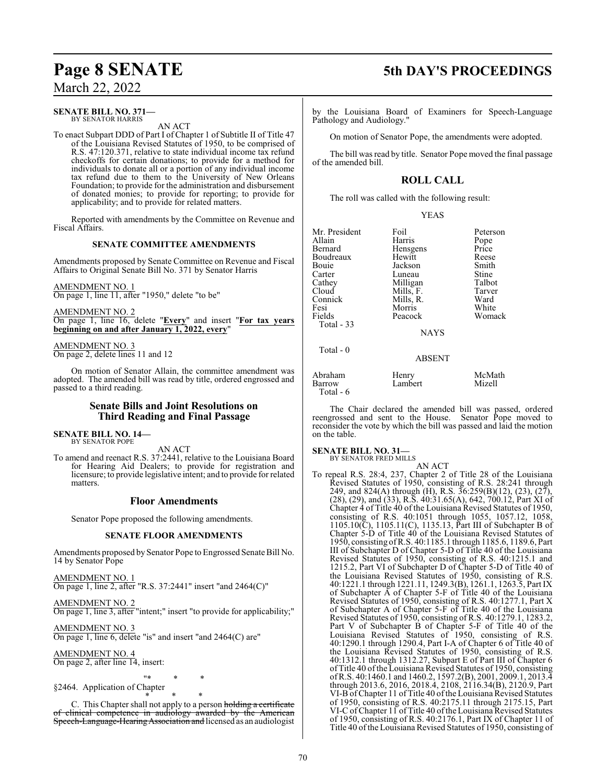#### **SENATE BILL NO. 371—** BY SENATOR HARRIS

AN ACT

To enact Subpart DDD of Part I of Chapter 1 of Subtitle II of Title 47 of the Louisiana Revised Statutes of 1950, to be comprised of R.S. 47:120.371, relative to state individual income tax refund checkoffs for certain donations; to provide for a method for individuals to donate all or a portion of any individual income tax refund due to them to the University of New Orleans Foundation; to provide for the administration and disbursement of donated monies; to provide for reporting; to provide for applicability; and to provide for related matters.

Reported with amendments by the Committee on Revenue and Fiscal Affairs.

#### **SENATE COMMITTEE AMENDMENTS**

Amendments proposed by Senate Committee on Revenue and Fiscal Affairs to Original Senate Bill No. 371 by Senator Harris

AMENDMENT NO. 1 On page 1, line 11, after "1950," delete "to be"

AMENDMENT NO. 2 On page 1, line 16, delete "**Every**" and insert "**For tax years beginning on and after January 1, 2022, every**"

AMENDMENT NO. 3 On page 2, delete lines 11 and 12

On motion of Senator Allain, the committee amendment was adopted. The amended bill was read by title, ordered engrossed and passed to a third reading.

#### **Senate Bills and Joint Resolutions on Third Reading and Final Passage**

**SENATE BILL NO. 14—** BY SENATOR POPE

AN ACT

To amend and reenact R.S. 37:2441, relative to the Louisiana Board for Hearing Aid Dealers; to provide for registration and licensure; to provide legislative intent; and to provide for related matters.

#### **Floor Amendments**

Senator Pope proposed the following amendments.

#### **SENATE FLOOR AMENDMENTS**

Amendments proposed by Senator Pope to Engrossed Senate Bill No. 14 by Senator Pope

AMENDMENT NO. 1 On page 1, line 2, after "R.S. 37:2441" insert "and 2464(C)"

AMENDMENT NO. 2

On page 1, line 3, after "intent;" insert "to provide for applicability;"

AMENDMENT NO. 3 On page 1, line 6, delete "is" and insert "and 2464(C) are"

AMENDMENT NO. 4

On page 2, after line 14, insert:

"\* \* \* §2464. Application of Chapter

\* \* \* C. This Chapter shall not apply to a person holding a certificate of clinical competence in audiology awarded by the American Speech-Language-HearingAssociation and licensed as an audiologist

## **Page 8 SENATE 5th DAY'S PROCEEDINGS**

by the Louisiana Board of Examiners for Speech-Language Pathology and Audiology."

On motion of Senator Pope, the amendments were adopted.

The bill was read by title. Senator Pope moved the final passage of the amended bill.

### **ROLL CALL**

The roll was called with the following result:

| Mr. President    | Foil             | Peterson |
|------------------|------------------|----------|
| Allain           | Harris           | Pope     |
| Bernard          | <b>H</b> ensgens | Price    |
| <b>Boudreaux</b> | Hewitt           | Reese    |

YEAS

| Bouie      | Jackson       | Smith  |
|------------|---------------|--------|
| Carter     | Luneau        | Stine  |
| Cathey     | Milligan      | Talbot |
| Cloud      | Mills, F.     | Tarver |
| Connick    | Mills, R.     | Ward   |
| Fesi       | Morris        | White  |
| Fields     | Peacock       | Womack |
| Total - 33 |               |        |
|            | <b>NAYS</b>   |        |
| Total - 0  |               |        |
|            | <b>ABSENT</b> |        |
| Abraham    | Henry         | McMath |
| Barrow     | Lambert       | Mizell |
|            |               |        |

Total - 6

The Chair declared the amended bill was passed, ordered reengrossed and sent to the House. Senator Pope moved to reconsider the vote by which the bill was passed and laid the motion on the table.

#### **SENATE BILL NO. 31—**

BY SENATOR FRED MILLS

AN ACT To repeal R.S. 28:4, 237, Chapter 2 of Title 28 of the Louisiana Revised Statutes of 1950, consisting of R.S. 28:241 through 249, and 824(A) through (H), R.S. 36:259(B)(12), (23), (27), (28), (29), and (33), R.S. 40:31.65(A), 642, 700.12, Part XI of Chapter 4 of Title 40 of the Louisiana Revised Statutes of 1950, consisting of R.S. 40:1051 through 1055, 1057.12, 1058, 1105.10(C), 1105.11(C), 1135.13, Part III of Subchapter B of Chapter 5-D of Title 40 of the Louisiana Revised Statutes of 1950, consisting ofR.S. 40:1185.1 through 1185.6, 1189.6, Part III of Subchapter D of Chapter 5-D of Title 40 of the Louisiana Revised Statutes of 1950, consisting of R.S. 40:1215.1 and 1215.2, Part VI of Subchapter D of Chapter 5-D of Title 40 of the Louisiana Revised Statutes of 1950, consisting of R.S. 40:1221.1 through 1221.11, 1249.3(B), 1261.1, 1263.5, Part IX of Subchapter A of Chapter 5-F of Title 40 of the Louisiana Revised Statutes of 1950, consisting of R.S. 40:1277.1, Part X of Subchapter A of Chapter 5-F of Title 40 of the Louisiana Revised Statutes of 1950, consisting of R.S. 40:1279.1, 1283.2, Part V of Subchapter B of Chapter 5-F of Title 40 of the Louisiana Revised Statutes of 1950, consisting of R.S. 40:1290.1 through 1290.4, Part I-A of Chapter 6 of Title 40 of the Louisiana Revised Statutes of 1950, consisting of R.S. 40:1312.1 through 1312.27, Subpart E of Part III of Chapter 6 of Title 40 of the Louisiana Revised Statutes of 1950, consisting ofR.S. 40:1460.1 and 1460.2, 1597.2(B), 2001, 2009.1, 2013.4 through 2013.6, 2016, 2018.4, 2108, 2116.34(B), 2120.9, Part VI-B ofChapter 11 of Title 40 ofthe Louisiana Revised Statutes of 1950, consisting of R.S. 40:2175.11 through 2175.15, Part VI-C of Chapter 11 of Title 40 of the Louisiana Revised Statutes of 1950, consisting of R.S. 40:2176.1, Part IX of Chapter 11 of Title 40 of the Louisiana Revised Statutes of 1950, consisting of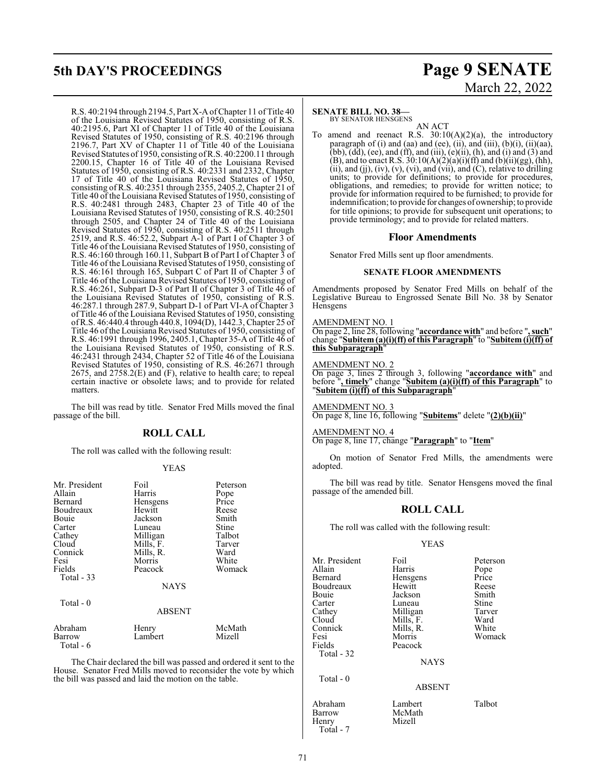## **5th DAY'S PROCEEDINGS Page 9 SENATE**

R.S. 40:2194 through 2194.5, Part X-A of Chapter 11 of Title 40 of the Louisiana Revised Statutes of 1950, consisting of R.S. 40:2195.6, Part XI of Chapter 11 of Title 40 of the Louisiana Revised Statutes of 1950, consisting of R.S. 40:2196 through 2196.7, Part XV of Chapter 11 of Title 40 of the Louisiana Revised Statutes of 1950, consisting ofR.S. 40:2200.11 through 2200.15, Chapter 16 of Title 40 of the Louisiana Revised Statutes of 1950, consisting of R.S. 40:2331 and 2332, Chapter 17 of Title 40 of the Louisiana Revised Statutes of 1950, consisting of R.S. 40:2351 through 2355, 2405.2, Chapter 21 of Title 40 of the Louisiana Revised Statutes of 1950, consisting of R.S. 40:2481 through 2483, Chapter 23 of Title 40 of the Louisiana Revised Statutes of 1950, consisting of R.S. 40:2501 through 2505, and Chapter 24 of Title 40 of the Louisiana Revised Statutes of 1950, consisting of R.S. 40:2511 through 2519, and R.S. 46:52.2, Subpart A-1 of Part I of Chapter 3 of Title 46 ofthe Louisiana Revised Statutes of 1950, consisting of R.S. 46:160 through 160.11, Subpart B of Part I of Chapter 3 of Title 46 of the Louisiana Revised Statutes of 1950, consisting of R.S. 46:161 through 165, Subpart C of Part II of Chapter 3 of Title 46 of the Louisiana Revised Statutes of 1950, consisting of R.S. 46:261, Subpart D-3 of Part II of Chapter 3 of Title 46 of the Louisiana Revised Statutes of 1950, consisting of R.S. 46:287.1 through 287.9, Subpart D-1 of Part VI-A of Chapter 3 of Title 46 ofthe Louisiana Revised Statutes of 1950, consisting ofR.S. 46:440.4 through 440.8, 1094(D), 1442.3, Chapter 25 of Title 46 ofthe Louisiana Revised Statutes of 1950, consisting of R.S. 46:1991 through 1996, 2405.1, Chapter 35-A of Title 46 of the Louisiana Revised Statutes of 1950, consisting of R.S. 46:2431 through 2434, Chapter 52 of Title 46 of the Louisiana Revised Statutes of 1950, consisting of R.S. 46:2671 through 2675, and 2758.2(E) and (F), relative to health care; to repeal certain inactive or obsolete laws; and to provide for related matters.

The bill was read by title. Senator Fred Mills moved the final passage of the bill.

### **ROLL CALL**

The roll was called with the following result:

#### YEAS

| Mr. President<br>Allain<br>Bernard<br>Boudreaux<br>Bouie<br>Carter<br>Cathey<br>Cloud | Foil<br>Harris<br>Hensgens<br>Hewitt<br>Jackson<br>Luneau<br>Milligan<br>Mills, F. | Peterson<br>Pope<br>Price<br>Reese<br>Smith<br>Stine<br>Talbot<br>Tarver |
|---------------------------------------------------------------------------------------|------------------------------------------------------------------------------------|--------------------------------------------------------------------------|
| Connick                                                                               | Mills, R.                                                                          | Ward                                                                     |
| Fesi                                                                                  | Morris                                                                             | White                                                                    |
| Fields                                                                                | Peacock                                                                            | Womack                                                                   |
| Total $-33$                                                                           |                                                                                    |                                                                          |
|                                                                                       | <b>NAYS</b>                                                                        |                                                                          |
| Total $-0$                                                                            | <b>ABSENT</b>                                                                      |                                                                          |
| Abraham<br>Barrow<br>Total - 6                                                        | Henry<br>Lambert                                                                   | McMath<br>Mizell                                                         |

The Chair declared the bill was passed and ordered it sent to the House. Senator Fred Mills moved to reconsider the vote by which the bill was passed and laid the motion on the table.

# March 22, 2022

#### **SENATE BILL NO. 38—**

BY SENATOR HENSGENS

AN ACT To amend and reenact R.S. 30:10(A)(2)(a), the introductory paragraph of  $(i)$  and  $(aa)$  and  $(ee)$ ,  $(ii)$ , and  $(iii)$ ,  $(b)(i)$ ,  $(ii)(aa)$ , (bb),  $(dd)$ , (ee), and (ff), and (iii),  $(e)(ii)$ ,  $(h)$ , and (i) and (3) and (B), and to enact R.S.  $30:10(A)(2)(a)(i)(ff)$  and  $(b)(ii)(gg)$ , (hh), (ii), and (jj), (iv), (v), (vi), and (vii), and (C), relative to drilling units; to provide for definitions; to provide for procedures, obligations, and remedies; to provide for written notice; to provide for information required to be furnished; to provide for indemnification; to provide for changes of ownership; to provide for title opinions; to provide for subsequent unit operations; to provide terminology; and to provide for related matters.

#### **Floor Amendments**

Senator Fred Mills sent up floor amendments.

#### **SENATE FLOOR AMENDMENTS**

Amendments proposed by Senator Fred Mills on behalf of the Legislative Bureau to Engrossed Senate Bill No. 38 by Senator **Hensgens** 

AMENDMENT NO. 1

On page 2, line 28, following "**accordance with**" and before "**, such**" change "**Subitem (a)(i)(ff) of this Paragraph**" to "**Subitem (i)(ff) of this Subparagraph**"

#### AMENDMENT NO. 2

On page 3, lines 2 through 3, following "**accordance with**" and before "**, timely**" change "**Subitem (a)(i)(ff) of this Paragraph**" to "**Subitem (i)(ff) of this Subparagraph**"

AMENDMENT NO. 3 On page 8, line 16, following "**Subitems**" delete "**(2)(b)(ii)**"

#### AMENDMENT NO. 4 On page 8, line 17, change "**Paragraph**" to "**Item**"

On motion of Senator Fred Mills, the amendments were adopted.

The bill was read by title. Senator Hensgens moved the final passage of the amended bill.

#### **ROLL CALL**

The roll was called with the following result:

#### YEAS

| Mr. President<br>Allain<br>Bernard<br>Boudreaux<br>Bouie<br>Carter<br>Cathey<br>Cloud<br>Connick<br>Fesi | Foil<br>Harris<br>Hensgens<br>Hewitt<br>Jackson<br>Luneau<br>Milligan<br>Mills, F.<br>Mills, R.<br>Morris | Peterson<br>Pope<br>Price<br>Reese<br>Smith<br>Stine<br>Tarver<br>Ward<br>White<br>Womack |
|----------------------------------------------------------------------------------------------------------|-----------------------------------------------------------------------------------------------------------|-------------------------------------------------------------------------------------------|
| Fields<br>Total - 32                                                                                     | Peacock<br><b>NAYS</b>                                                                                    |                                                                                           |
| Total $-0$                                                                                               | <b>ABSENT</b>                                                                                             |                                                                                           |
| Abraham<br>Barrow                                                                                        | Lambert<br>McMath                                                                                         | Talbot                                                                                    |

McMath<br>Mizell

Henry Total - 7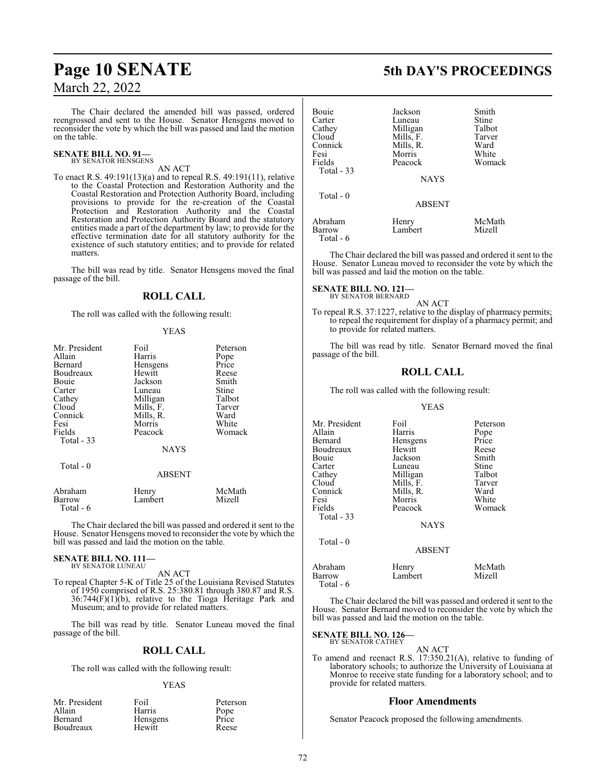The Chair declared the amended bill was passed, ordered reengrossed and sent to the House. Senator Hensgens moved to reconsider the vote by which the bill was passed and laid the motion on the table.

#### **SENATE BILL NO. 91—** BY SENATOR HENSGENS

### AN ACT

To enact R.S. 49:191(13)(a) and to repeal R.S. 49:191(11), relative to the Coastal Protection and Restoration Authority and the Coastal Restoration and Protection Authority Board, including provisions to provide for the re-creation of the Coastal Protection and Restoration Authority and the Coastal Restoration and Protection Authority Board and the statutory entities made a part of the department by law; to provide for the effective termination date for all statutory authority for the existence of such statutory entities; and to provide for related matters.

The bill was read by title. Senator Hensgens moved the final passage of the bill.

#### **ROLL CALL**

The roll was called with the following result:

#### YEAS

| Mr. President                  | Foil             | Peterson         |
|--------------------------------|------------------|------------------|
| Allain                         | Harris           | Pope             |
| Bernard                        | Hensgens         | Price            |
| Boudreaux                      | Hewitt           | Reese            |
| Bouie                          | Jackson          | Smith            |
| Carter                         | Luneau           | Stine            |
| Cathey                         | Milligan         | Talbot           |
| Cloud                          | Mills, F.        | Tarver           |
| Connick                        | Mills, R.        | Ward             |
| Fesi                           | Morris           | White            |
| Fields                         | Peacock          | Womack           |
| Total - 33                     |                  |                  |
|                                | <b>NAYS</b>      |                  |
| Total - 0                      |                  |                  |
|                                | <b>ABSENT</b>    |                  |
| Abraham<br>Barrow<br>Total - 6 | Henry<br>Lambert | McMath<br>Mizell |
|                                |                  |                  |

The Chair declared the bill was passed and ordered it sent to the House. Senator Hensgens moved to reconsider the vote by which the bill was passed and laid the motion on the table.

#### **SENATE BILL NO. 111—** BY SENATOR LUNEAU

AN ACT

To repeal Chapter 5-K of Title 25 of the Louisiana Revised Statutes of 1950 comprised of R.S. 25:380.81 through 380.87 and R.S.  $36:744(F)(1)(b)$ , relative to the Tioga Heritage Park and Museum; and to provide for related matters.

The bill was read by title. Senator Luneau moved the final passage of the bill.

#### **ROLL CALL**

The roll was called with the following result:

#### YEAS

Peterson<br>Pope

| Mr. President  | Foil            | Peters |
|----------------|-----------------|--------|
| Allain         | Harris          | Pope   |
| <b>Bernard</b> | <b>Hensgens</b> | Price  |
| Boudreaux      | Hewitt          | Reese  |

**Page 10 SENATE 5th DAY'S PROCEEDINGS**

| Bouie<br>Carter<br>Cathey<br>Cloud<br>Connick<br>Fesi<br>Fields | Jackson<br>Luneau<br>Milligan<br>Mills, F.<br>Mills, R.<br>Morris<br>Peacock | Smith<br>Stine<br>Talbot<br>Tarver<br>Ward<br>White<br>Womack |
|-----------------------------------------------------------------|------------------------------------------------------------------------------|---------------------------------------------------------------|
| Total $-33$                                                     | <b>NAYS</b>                                                                  |                                                               |
| Total $-0$                                                      | <b>ABSENT</b>                                                                |                                                               |
| Abraham<br>Barrow<br>$Total - 6$                                | Henry<br>Lambert                                                             | McMath<br>Mizell                                              |

The Chair declared the bill was passed and ordered it sent to the House. Senator Luneau moved to reconsider the vote by which the bill was passed and laid the motion on the table.

#### **SENATE BILL NO. 121—** BY SENATOR BERNARD

AN ACT

To repeal R.S. 37:1227, relative to the display of pharmacy permits; to repeal the requirement for display of a pharmacy permit; and to provide for related matters.

The bill was read by title. Senator Bernard moved the final passage of the bill.

#### **ROLL CALL**

The roll was called with the following result:

#### YEAS

| Mr. President                                    | Foil                                                       | Peterson                          |
|--------------------------------------------------|------------------------------------------------------------|-----------------------------------|
| Allain                                           | Harris                                                     | Pope                              |
| Bernard                                          | Hensgens                                                   | Price                             |
| Boudreaux                                        | Hewitt                                                     | Reese                             |
| Bouie                                            | Jackson                                                    | Smith                             |
| Carter                                           | Luneau                                                     | Stine                             |
| Cloud<br>Connick<br>Fesi<br>Fields<br>Total - 33 | Mills, F.<br>Mills, R.<br>Morris<br>Peacock<br><b>NAYS</b> | Tarver<br>Ward<br>White<br>Womack |
| Total $-0$                                       | <b>ABSENT</b>                                              |                                   |
| Abraham                                          | Henry                                                      | McMath                            |
| Barrow                                           | Lambert                                                    | Mizell                            |

Total - 6

The Chair declared the bill was passed and ordered it sent to the House. Senator Bernard moved to reconsider the vote by which the bill was passed and laid the motion on the table.

#### **SENATE BILL NO. 126—** BY SENATOR CATHEY

AN ACT To amend and reenact R.S. 17:350.21(A), relative to funding of laboratory schools; to authorize the University of Louisiana at Monroe to receive state funding for a laboratory school; and to provide for related matters.

#### **Floor Amendments**

Senator Peacock proposed the following amendments.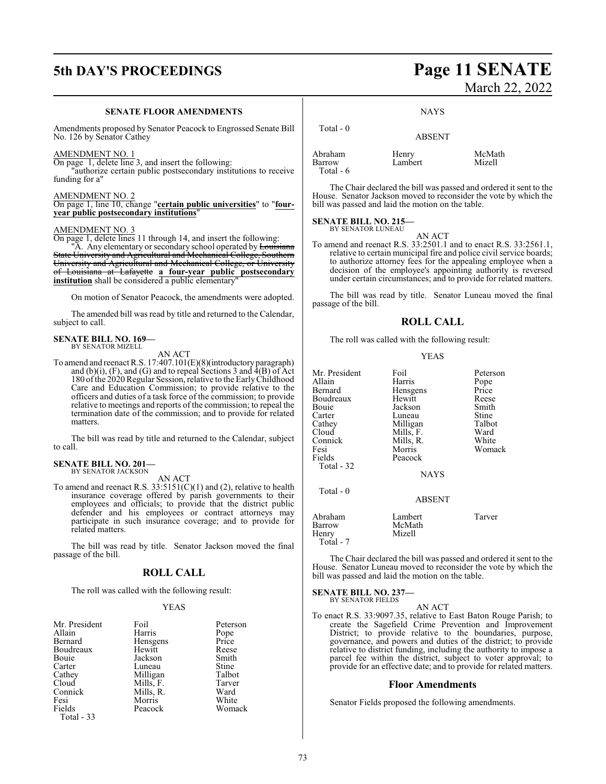## **5th DAY'S PROCEEDINGS Page 11 SENATE**

#### **SENATE FLOOR AMENDMENTS**

Amendments proposed by Senator Peacock to Engrossed Senate Bill No. 126 by Senator Cathey

#### AMENDMENT NO. 1

On page 1, delete line 3, and insert the following:

"authorize certain public postsecondary institutions to receive funding for a"

#### AMENDMENT NO. 2

On page 1, line 10, change "**certain public universities**" to "**fouryear public postsecondary institutions**"

#### AMENDMENT NO. 3

On page 1, delete lines 11 through 14, and insert the following:

"A. Any elementary or secondary school operated by Louisiana State University and Agricultural and Mechanical College, Southern University and Agricultural and Mechanical College, or University of Louisiana at Lafayette **a four-year public postsecondary** institution shall be considered a public elementary

On motion of Senator Peacock, the amendments were adopted.

The amended bill was read by title and returned to the Calendar, subject to call.

#### **SENATE BILL NO. 169—** BY SENATOR MIZELL

AN ACT

To amend and reenact R.S. 17:407.101(E)(8)(introductory paragraph) and (b)(i),  $(F)$ , and  $(G)$  and to repeal Sections 3 and  $\overline{4}(B)$  of Act 180 ofthe 2020Regular Session, relative to the EarlyChildhood Care and Education Commission; to provide relative to the officers and duties of a task force of the commission; to provide relative to meetings and reports of the commission; to repeal the termination date of the commission; and to provide for related matters.

The bill was read by title and returned to the Calendar, subject to call.

#### **SENATE BILL NO. 201—** BY SENATOR JACKSON

AN ACT

To amend and reenact R.S. 33:5151(C)(1) and (2), relative to health insurance coverage offered by parish governments to their employees and officials; to provide that the district public defender and his employees or contract attorneys may participate in such insurance coverage; and to provide for related matters.

The bill was read by title. Senator Jackson moved the final passage of the bill.

#### **ROLL CALL**

The roll was called with the following result:

#### YEAS

| Mr. President<br>Allain<br>Bernard<br>Boudreaux | Foil<br>Harris<br>Hensgens | Peterson<br>Pope<br>Price |
|-------------------------------------------------|----------------------------|---------------------------|
| Bouie                                           | Hewitt<br>Jackson          | Reese<br>Smith            |
|                                                 |                            |                           |
| Carter                                          | Luneau                     | Stine                     |
| Cathey                                          | Milligan                   | Talbot                    |
| Cloud                                           | Mills, F.                  | Tarver                    |
| Connick                                         | Mills, R.                  | Ward                      |
| Fesi                                            | Morris                     | White                     |
| Fields                                          | Peacock                    | Womack                    |
| Total - 33                                      |                            |                           |

# March 22, 2022

**NAYS** 

| Total $-0$                      | <b>ABSENT</b>    |                  |
|---------------------------------|------------------|------------------|
| Abraham<br>Barrow<br>Total $-6$ | Henry<br>Lambert | McMath<br>Mizell |

The Chair declared the bill was passed and ordered it sent to the House. Senator Jackson moved to reconsider the vote by which the bill was passed and laid the motion on the table.

#### **SENATE BILL NO. 215—** BY SENATOR LUNEAU

AN ACT

To amend and reenact R.S. 33:2501.1 and to enact R.S. 33:2561.1, relative to certain municipal fire and police civil service boards; to authorize attorney fees for the appealing employee when a decision of the employee's appointing authority is reversed under certain circumstances; and to provide for related matters.

The bill was read by title. Senator Luneau moved the final passage of the bill.

#### **ROLL CALL**

The roll was called with the following result:

YEAS

| Mr. President<br>Allain<br>Bernard<br>Boudreaux<br>Bouie<br>Carter<br>Cathey<br>Cloud<br>Connick<br>Fesi<br>Fields<br>Total - 32 | Foil<br>Harris<br>Hensgens<br>Hewitt<br>Jackson<br>Luneau<br>Milligan<br>Mills, F.<br>Mills, R.<br>Morris<br>Peacock<br><b>NAYS</b> | Peterson<br>Pope<br>Price<br>Reese<br>Smith<br>Stine<br>Talbot<br>Ward<br>White<br>Womack |
|----------------------------------------------------------------------------------------------------------------------------------|-------------------------------------------------------------------------------------------------------------------------------------|-------------------------------------------------------------------------------------------|
| Total $-0$                                                                                                                       | <b>ABSENT</b>                                                                                                                       |                                                                                           |
| Abraham<br>Barrow<br>Henry<br>Total - 7                                                                                          | Lambert<br>McMath<br>Mizell                                                                                                         | Tarver                                                                                    |

The Chair declared the bill was passed and ordered it sent to the House. Senator Luneau moved to reconsider the vote by which the bill was passed and laid the motion on the table.

**SENATE BILL NO. 237—** BY SENATOR FIELDS

AN ACT

To enact R.S. 33:9097.35, relative to East Baton Rouge Parish; to create the Sagefield Crime Prevention and Improvement District; to provide relative to the boundaries, purpose, governance, and powers and duties of the district; to provide relative to district funding, including the authority to impose a parcel fee within the district, subject to voter approval; to provide for an effective date; and to provide for related matters.

#### **Floor Amendments**

Senator Fields proposed the following amendments.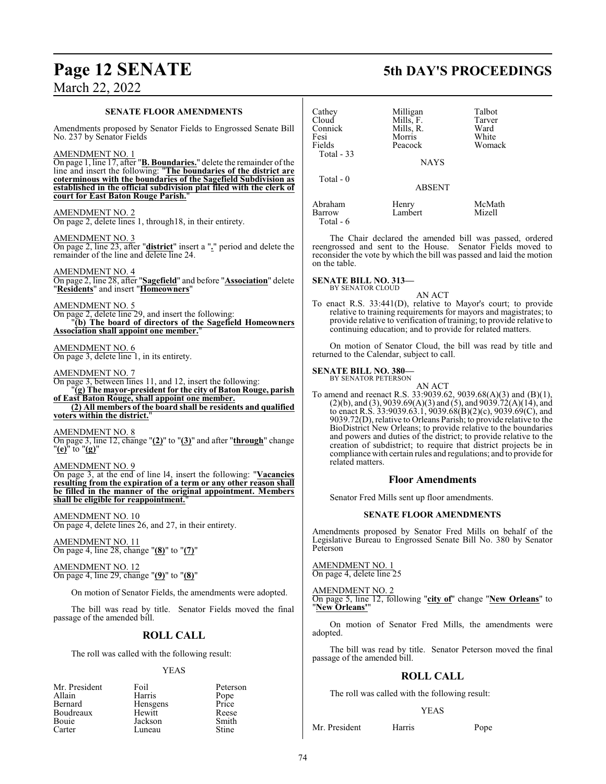#### **SENATE FLOOR AMENDMENTS**

Amendments proposed by Senator Fields to Engrossed Senate Bill No. 237 by Senator Fields

AMENDMENT NO. 1

On page 1, line 17, after "**B. Boundaries.**" delete the remainder ofthe line and insert the following: "**The boundaries of the district are coterminous with the boundaries of the Sagefield Subdivision as established in the official subdivision plat filed with the clerk of court for East Baton Rouge Parish.**"

AMENDMENT NO. 2 On page 2, delete lines 1, through18, in their entirety.

AMENDMENT NO. 3 On page 2, line 23, after "**district**" insert a "**.**" period and delete the remainder of the line and delete line 24.

AMENDMENT NO. 4 On page 2, line 28, after "**Sagefield**" and before "**Association**" delete "**Residents**" and insert "**Homeowners**"

AMENDMENT NO. 5 On page 2, delete line 29, and insert the following: "**(b) The board of directors of the Sagefield Homeowners Association shall appoint one member.**"

### AMENDMENT NO. 6

On page 3, delete line 1, in its entirety.

AMENDMENT NO. 7

On page 3, between lines 11, and 12, insert the following: "**(g) The mayor-president for the city of Baton Rouge, parish of East Baton Rouge, shall appoint one member. (2) All members of the board shall be residents and qualified**

**voters within the district.**"

AMENDMENT NO. 8 On page 3, line 12, change "**(2)**" to "**(3)**" and after "**through**" change "**(e)**" to "**(g)**"

AMENDMENT NO. 9

On page 3, at the end of line l4, insert the following: "**Vacancies resulting from the expiration of a term or any other reason shall be filled in the manner of the original appointment. Members** shall be eligible for reappointment.

AMENDMENT NO. 10 On page 4, delete lines 26, and 27, in their entirety.

AMENDMENT NO. 11 On page 4, line 28, change "**(8)**" to "**(7)**"

AMENDMENT NO. 12 On page 4, line 29, change "**(9)**" to "**(8)**"

On motion of Senator Fields, the amendments were adopted.

The bill was read by title. Senator Fields moved the final passage of the amended bill.

### **ROLL CALL**

The roll was called with the following result:

#### YEAS

| Mr. President | Foil     | Peterson      |
|---------------|----------|---------------|
| Allain        | Harris   |               |
| Bernard       | Hensgens | Pope<br>Price |
| Boudreaux     | Hewitt   | Reese         |
| Bouie         | Jackson  | Smith         |
| Carter        | Luneau   | <b>Stine</b>  |

**Page 12 SENATE 5th DAY'S PROCEEDINGS**

| Cathey<br>Cloud<br>Connick<br>Fesi<br>Fields<br>Total $-33$ | Milligan<br>Mills, F.<br>Mills, R.<br>Morris<br>Peacock<br><b>NAYS</b> | Talbot<br>Tarver<br>Ward<br>White<br>Womack |
|-------------------------------------------------------------|------------------------------------------------------------------------|---------------------------------------------|
| Total $-0$                                                  | <b>ABSENT</b>                                                          |                                             |
| Abraham<br>Barrow<br>Total - 6                              | Henry<br>Lambert                                                       | McMath<br>Mizell                            |

The Chair declared the amended bill was passed, ordered reengrossed and sent to the House. Senator Fields moved to reconsider the vote by which the bill was passed and laid the motion on the table.

**SENATE BILL NO. 313—** BY SENATOR CLOUD

AN ACT

To enact R.S. 33:441(D), relative to Mayor's court; to provide relative to training requirements for mayors and magistrates; to provide relative to verification of training; to provide relative to continuing education; and to provide for related matters.

On motion of Senator Cloud, the bill was read by title and returned to the Calendar, subject to call.

#### **SENATE BILL NO. 380—** BY SENATOR PETERSON

AN ACT To amend and reenact R.S. 33:9039.62, 9039.68(A)(3) and (B)(1),  $(2)(b)$ , and  $(3)$ , 9039.69 $(A)(3)$  and  $(5)$ , and 9039.72 $(A)(14)$ , and to enact R.S. 33:9039.63.1, 9039.68(B)(2)(c), 9039.69(C), and 9039.72(D), relative to Orleans Parish; to provide relative to the BioDistrict New Orleans; to provide relative to the boundaries and powers and duties of the district; to provide relative to the creation of subdistrict; to require that district projects be in compliance with certain rules and regulations; and to provide for related matters.

#### **Floor Amendments**

Senator Fred Mills sent up floor amendments.

#### **SENATE FLOOR AMENDMENTS**

Amendments proposed by Senator Fred Mills on behalf of the Legislative Bureau to Engrossed Senate Bill No. 380 by Senator Peterson

AMENDMENT NO. 1 On page 4, delete line 25

AMENDMENT NO. 2

On page 5, line 12, following "**city of**" change "**New Orleans**" to "**New Orleans'**"

On motion of Senator Fred Mills, the amendments were adopted.

The bill was read by title. Senator Peterson moved the final passage of the amended bill.

### **ROLL CALL**

The roll was called with the following result:

#### YEAS

Mr. President Harris Pope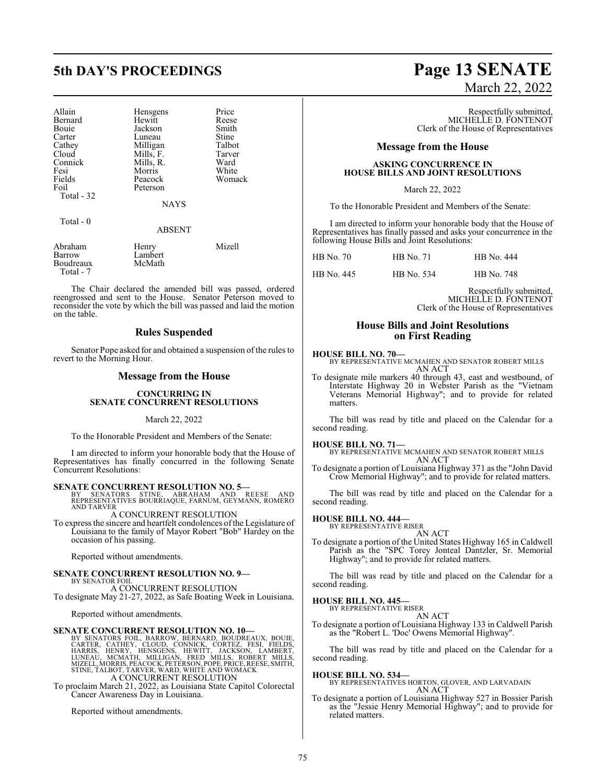| Allain<br>Bernard<br>Bouie<br>Carter<br>Cathey<br>Cloud<br>Connick<br>Fesi<br>Fields<br>Foil<br>Total - 32 | Hensgens<br>Hewitt<br>Jackson<br>Luneau<br>Milligan<br>Mills, F.<br>Mills, R.<br>Morris<br>Peacock<br>Peterson<br><b>NAYS</b> | Price<br>Reese<br>Smith<br>Stine<br>Talbot<br>Tarver<br>Ward<br>White<br>Womack |
|------------------------------------------------------------------------------------------------------------|-------------------------------------------------------------------------------------------------------------------------------|---------------------------------------------------------------------------------|
| Total $-0$                                                                                                 | <b>ABSENT</b>                                                                                                                 |                                                                                 |
| $A = 1$                                                                                                    | $TT - 1$                                                                                                                      | $M = -11$                                                                       |

| Abraham   | Henry   | Mizell |
|-----------|---------|--------|
| Barrow    | Lambert |        |
| Boudreaux | McMath  |        |
| Total - 7 |         |        |

The Chair declared the amended bill was passed, ordered reengrossed and sent to the House. Senator Peterson moved to reconsider the vote by which the bill was passed and laid the motion on the table.

#### **Rules Suspended**

Senator Pope asked for and obtained a suspension of the rules to revert to the Morning Hour.

#### **Message from the House**

#### **CONCURRING IN SENATE CONCURRENT RESOLUTIONS**

#### March 22, 2022

To the Honorable President and Members of the Senate:

I am directed to inform your honorable body that the House of Representatives has finally concurred in the following Senate Concurrent Resolutions:

**SENATE CONCURRENT RESOLUTION NO. 5—**<br>
BY SENATORS STINE, ABRAHAM AND REESE AND<br>
REPRESENTATIVES BOURRIAQUE, FARNUM, GEYMANN, ROMERO<br>
AND TARVER

A CONCURRENT RESOLUTION To express the sincere and heartfelt condolences ofthe Legislature of Louisiana to the family of Mayor Robert "Bob" Hardey on the occasion of his passing.

Reported without amendments.

#### **SENATE CONCURRENT RESOLUTION NO. 9—**

BY SENATOR FOIL A CONCURRENT RESOLUTION To designate May 21-27, 2022, as Safe Boating Week in Louisiana.

Reported without amendments.

SENATE CONCURRENT RESOLUTION NO. 10—<br>BY SENATORS FOIL, BARROW, BERNARD, BOUDERAUX, BOUJE<br>CARTER, CATHEY, CLOUD, CONNICK, CORTEZ, FESI, FIELDS,<br>HARRIS, HENRY, HENSGENS, HEWITT, JACKSON, LAMBERT,<br>LUNEAU, MCMATH, MILLIGAN, FR

To proclaim March 21, 2022, as Louisiana State Capitol Colorectal Cancer Awareness Day in Louisiana.

Reported without amendments.

## **5th DAY'S PROCEEDINGS Page 13 SENATE** March 22, 2022

Respectfully submitted, MICHELLE D. FONTENOT Clerk of the House of Representatives

#### **Message from the House**

#### **ASKING CONCURRENCE IN HOUSE BILLS AND JOINT RESOLUTIONS**

#### March 22, 2022

To the Honorable President and Members of the Senate:

I am directed to inform your honorable body that the House of Representatives has finally passed and asks your concurrence in the following House Bills and Joint Resolutions:

HB No. 445 HB No. 534 HB No. 748

Respectfully submitted, MICHELLE D. FONTENOT Clerk of the House of Representatives

#### **House Bills and Joint Resolutions on First Reading**

#### **HOUSE BILL NO. 70—**

BY REPRESENTATIVE MCMAHEN AND SENATOR ROBERT MILLS AN ACT

To designate mile markers 40 through 43, east and westbound, of Interstate Highway 20 in Webster Parish as the "Vietnam Veterans Memorial Highway"; and to provide for related matters.

The bill was read by title and placed on the Calendar for a second reading.

**HOUSE BILL NO. 71—** BY REPRESENTATIVE MCMAHEN AND SENATOR ROBERT MILLS AN ACT

To designate a portion of Louisiana Highway 371 as the "John David Crow Memorial Highway"; and to provide for related matters.

The bill was read by title and placed on the Calendar for a second reading.

### **HOUSE BILL NO. 444—** BY REPRESENTATIVE RISER

AN ACT To designate a portion of the United States Highway 165 in Caldwell Parish as the "SPC Torey Jonteal Dantzler, Sr. Memorial Highway"; and to provide for related matters.

The bill was read by title and placed on the Calendar for a second reading.

#### **HOUSE BILL NO. 445—**

BY REPRESENTATIVE RISER AN ACT

To designate a portion of Louisiana Highway 133 in Caldwell Parish as the "Robert L. 'Doc' Owens Memorial Highway".

The bill was read by title and placed on the Calendar for a second reading.

**HOUSE BILL NO. 534—** BY REPRESENTATIVES HORTON, GLOVER, AND LARVADAIN AN ACT

To designate a portion of Louisiana Highway 527 in Bossier Parish as the "Jessie Henry Memorial Highway"; and to provide for related matters.